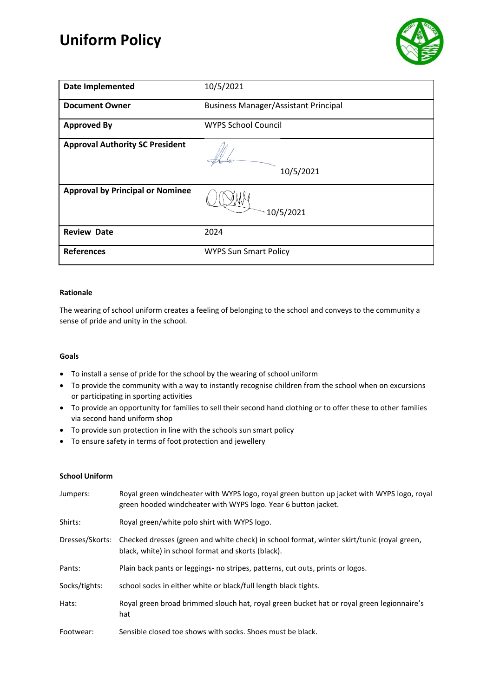# **Uniform Policy**



| <b>Date Implemented</b>                 | 10/5/2021                                   |
|-----------------------------------------|---------------------------------------------|
| <b>Document Owner</b>                   | <b>Business Manager/Assistant Principal</b> |
| <b>Approved By</b>                      | <b>WYPS School Council</b>                  |
| <b>Approval Authority SC President</b>  | 10/5/2021                                   |
| <b>Approval by Principal or Nominee</b> | 10/5/2021                                   |
| <b>Review Date</b>                      | 2024                                        |
| <b>References</b>                       | <b>WYPS Sun Smart Policy</b>                |

## **Rationale**

The wearing of school uniform creates a feeling of belonging to the school and conveys to the community a sense of pride and unity in the school.

## **Goals**

- To install a sense of pride for the school by the wearing of school uniform
- To provide the community with a way to instantly recognise children from the school when on excursions or participating in sporting activities
- To provide an opportunity for families to sell their second hand clothing or to offer these to other families via second hand uniform shop
- To provide sun protection in line with the schools sun smart policy
- To ensure safety in terms of foot protection and jewellery

## **School Uniform**

| Jumpers:        | Royal green windcheater with WYPS logo, royal green button up jacket with WYPS logo, royal<br>green hooded windcheater with WYPS logo. Year 6 button jacket. |
|-----------------|--------------------------------------------------------------------------------------------------------------------------------------------------------------|
| Shirts:         | Royal green/white polo shirt with WYPS logo.                                                                                                                 |
| Dresses/Skorts: | Checked dresses (green and white check) in school format, winter skirt/tunic (royal green,<br>black, white) in school format and skorts (black).             |
| Pants:          | Plain back pants or leggings- no stripes, patterns, cut outs, prints or logos.                                                                               |
| Socks/tights:   | school socks in either white or black/full length black tights.                                                                                              |
| Hats:           | Royal green broad brimmed slouch hat, royal green bucket hat or royal green legionnaire's<br>hat                                                             |
| Footwear:       | Sensible closed toe shows with socks. Shoes must be black.                                                                                                   |